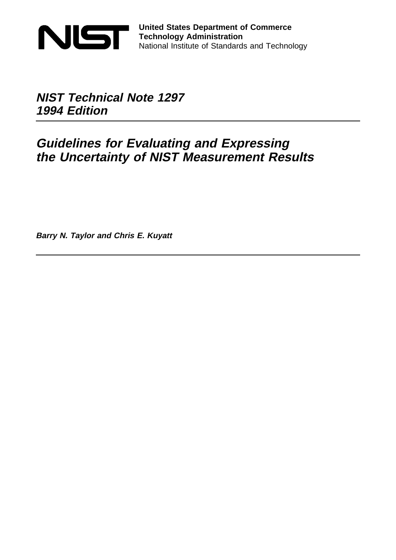

**NIST Technical Note 1297 1994 Edition**

# **Guidelines for Evaluating and Expressing the Uncertainty of NIST Measurement Results**

**Barry N. Taylor and Chris E. Kuyatt**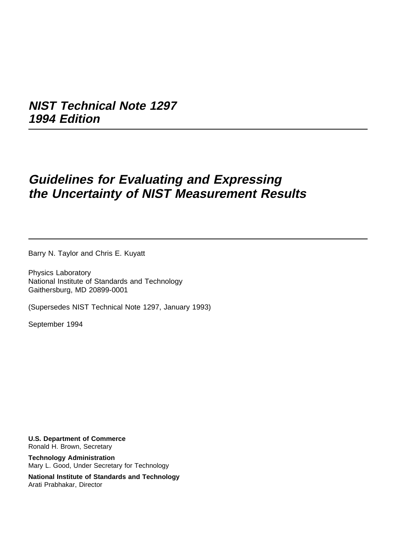# **NIST Technical Note 1297 1994 Edition**

# **Guidelines for Evaluating and Expressing the Uncertainty of NIST Measurement Results**

Barry N. Taylor and Chris E. Kuyatt

Physics Laboratory National Institute of Standards and Technology Gaithersburg, MD 20899-0001

(Supersedes NIST Technical Note 1297, January 1993)

September 1994

**U.S. Department of Commerce** Ronald H. Brown, Secretary

**Technology Administration** Mary L. Good, Under Secretary for Technology

**National Institute of Standards and Technology** Arati Prabhakar, Director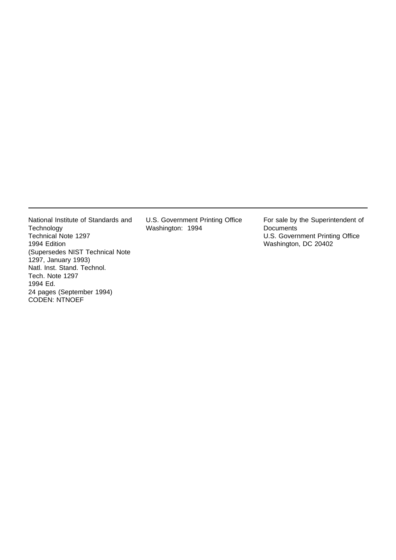National Institute of Standards and **Technology** Technical Note 1297 1994 Edition (Supersedes NIST Technical Note 1297, January 1993) Natl. Inst. Stand. Technol. Tech. Note 1297 1994 Ed. 24 pages (September 1994) CODEN: NTNOEF

U.S. Government Printing Office Washington: 1994

For sale by the Superintendent of **Documents** U.S. Government Printing Office Washington, DC 20402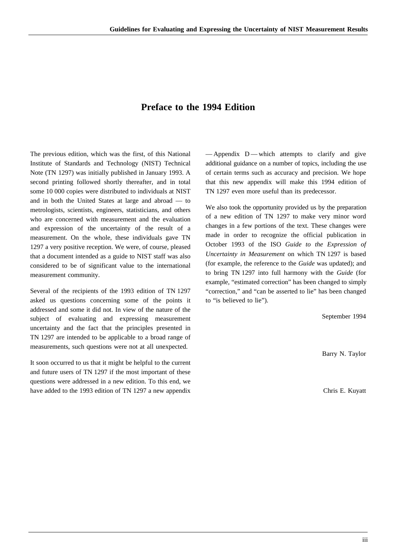# **Preface to the 1994 Edition**

The previous edition, which was the first, of this National Institute of Standards and Technology (NIST) Technical Note (TN 1297) was initially published in January 1993. A second printing followed shortly thereafter, and in total some 10 000 copies were distributed to individuals at NIST and in both the United States at large and abroad — to metrologists, scientists, engineers, statisticians, and others who are concerned with measurement and the evaluation and expression of the uncertainty of the result of a measurement. On the whole, these individuals gave TN 1297 a very positive reception. We were, of course, pleased that a document intended as a guide to NIST staff was also considered to be of significant value to the international measurement community.

Several of the recipients of the 1993 edition of TN 1297 asked us questions concerning some of the points it addressed and some it did not. In view of the nature of the subject of evaluating and expressing measurement uncertainty and the fact that the principles presented in TN 1297 are intended to be applicable to a broad range of measurements, such questions were not at all unexpected.

It soon occurred to us that it might be helpful to the current and future users of TN 1297 if the most important of these questions were addressed in a new edition. To this end, we have added to the 1993 edition of TN 1297 a new appendix  $-$ Appendix D — which attempts to clarify and give additional guidance on a number of topics, including the use of certain terms such as accuracy and precision. We hope that this new appendix will make this 1994 edition of TN 1297 even more useful than its predecessor.

We also took the opportunity provided us by the preparation of a new edition of TN 1297 to make very minor word changes in a few portions of the text. These changes were made in order to recognize the official publication in October 1993 of the ISO *Guide to the Expression of Uncertainty in Measurement* on which TN 1297 is based (for example, the reference to the *Guide* was updated); and to bring TN 1297 into full harmony with the *Guide* (for example, "estimated correction" has been changed to simply "correction," and "can be asserted to lie" has been changed to "is believed to lie").

September 1994

Barry N. Taylor

Chris E. Kuyatt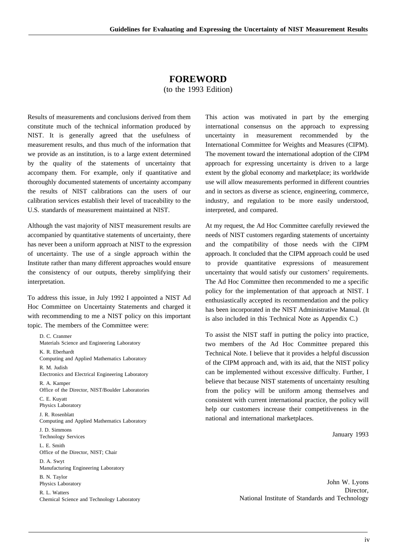# **FOREWORD** (to the 1993 Edition)

Results of measurements and conclusions derived from them constitute much of the technical information produced by NIST. It is generally agreed that the usefulness of measurement results, and thus much of the information that we provide as an institution, is to a large extent determined by the quality of the statements of uncertainty that accompany them. For example, only if quantitative and thoroughly documented statements of uncertainty accompany the results of NIST calibrations can the users of our calibration services establish their level of traceability to the U.S. standards of measurement maintained at NIST.

Although the vast majority of NIST measurement results are accompanied by quantitative statements of uncertainty, there has never been a uniform approach at NIST to the expression of uncertainty. The use of a single approach within the Institute rather than many different approaches would ensure the consistency of our outputs, thereby simplifying their interpretation.

To address this issue, in July 1992 I appointed a NIST Ad Hoc Committee on Uncertainty Statements and charged it with recommending to me a NIST policy on this important topic. The members of the Committee were:

D. C. Cranmer Materials Science and Engineering Laboratory K. R. Eberhardt Computing and Applied Mathematics Laboratory R. M. Judish Electronics and Electrical Engineering Laboratory R. A. Kamper Office of the Director, NIST/Boulder Laboratories C. E. Kuyatt Physics Laboratory J. R. Rosenblatt Computing and Applied Mathematics Laboratory J. D. Simmons Technology Services L. E. Smith Office of the Director, NIST; Chair D. A. Swyt Manufacturing Engineering Laboratory B. N. Taylor Physics Laboratory

R. L. Watters Chemical Science and Technology Laboratory

This action was motivated in part by the emerging international consensus on the approach to expressing uncertainty in measurement recommended by the International Committee for Weights and Measures (CIPM). The movement toward the international adoption of the CIPM approach for expressing uncertainty is driven to a large extent by the global economy and marketplace; its worldwide use will allow measurements performed in different countries and in sectors as diverse as science, engineering, commerce, industry, and regulation to be more easily understood, interpreted, and compared.

At my request, the Ad Hoc Committee carefully reviewed the needs of NIST customers regarding statements of uncertainty and the compatibility of those needs with the CIPM approach. It concluded that the CIPM approach could be used to provide quantitative expressions of measurement uncertainty that would satisfy our customers' requirements. The Ad Hoc Committee then recommended to me a specific policy for the implementation of that approach at NIST. I enthusiastically accepted its recommendation and the policy has been incorporated in the NIST Administrative Manual. (It is also included in this Technical Note as Appendix C.)

To assist the NIST staff in putting the policy into practice, two members of the Ad Hoc Committee prepared this Technical Note. I believe that it provides a helpful discussion of the CIPM approach and, with its aid, that the NIST policy can be implemented without excessive difficulty. Further, I believe that because NIST statements of uncertainty resulting from the policy will be uniform among themselves and consistent with current international practice, the policy will help our customers increase their competitiveness in the national and international marketplaces.

January 1993

John W. Lyons Director, National Institute of Standards and Technology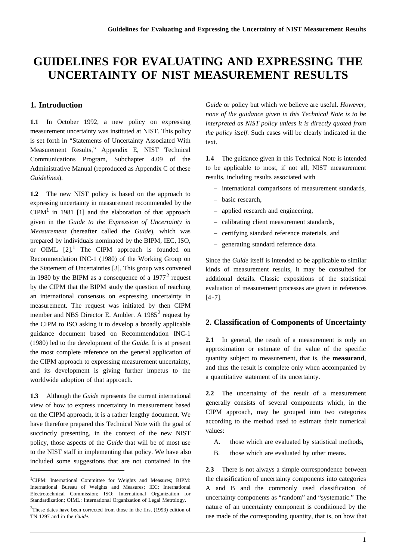# **GUIDELINES FOR EVALUATING AND EXPRESSING THE UNCERTAINTY OF NIST MEASUREMENT RESULTS**

# **1. Introduction**

**1.1** In October 1992, a new policy on expressing measurement uncertainty was instituted at NIST. This policy is set forth in "Statements of Uncertainty Associated With Measurement Results," Appendix E, NIST Technical Communications Program, Subchapter 4.09 of the Administrative Manual (reproduced as Appendix C of these *Guidelines*).

**1.2** The new NIST policy is based on the approach to expressing uncertainty in measurement recommended by the  $CIPM<sup>1</sup>$  in 1981 [1] and the elaboration of that approach given in the *Guide to the Expression of Uncertainty in Measurement* (hereafter called the *Guide*), which was prepared by individuals nominated by the BIPM, IEC, ISO, or OIML  $[2]$ <sup>1</sup>. The CIPM approach is founded on Recommendation INC-1 (1980) of the Working Group on the Statement of Uncertainties [3]. This group was convened in 1980 by the BIPM as a consequence of a  $1977<sup>2</sup>$  request by the CIPM that the BIPM study the question of reaching an international consensus on expressing uncertainty in measurement. The request was initiated by then CIPM member and NBS Director E. Ambler. A  $1985<sup>2</sup>$  request by the CIPM to ISO asking it to develop a broadly applicable guidance document based on Recommendation INC-1 (1980) led to the development of the *Guide*. It is at present the most complete reference on the general application of the CIPM approach to expressing measurement uncertainty, and its development is giving further impetus to the worldwide adoption of that approach.

**1.3** Although the *Guide* represents the current international view of how to express uncertainty in measurement based on the CIPM approach, it is a rather lengthy document. We have therefore prepared this Technical Note with the goal of succinctly presenting, in the context of the new NIST policy, those aspects of the *Guide* that will be of most use to the NIST staff in implementing that policy. We have also included some suggestions that are not contained in the

*Guide* or policy but which we believe are useful. *However, none of the guidance given in this Technical Note is to be interpreted as NIST policy unless it is directly quoted from the policy itself*. Such cases will be clearly indicated in the text.

**1.4** The guidance given in this Technical Note is intended to be applicable to most, if not all, NIST measurement results, including results associated with

- international comparisons of measurement standards,
- basic research,
- applied research and engineering,
- calibrating client measurement standards,
- certifying standard reference materials, and
- generating standard reference data.

Since the *Guide* itself is intended to be applicable to similar kinds of measurement results, it may be consulted for additional details. Classic expositions of the statistical evaluation of measurement processes are given in references [4-7].

# **2. Classification of Components of Uncertainty**

2.1 In general, the result of a measurement is only an approximation or estimate of the value of the specific quantity subject to measurement, that is, the **measurand**, and thus the result is complete only when accompanied by a quantitative statement of its uncertainty.

**2.2** The uncertainty of the result of a measurement generally consists of several components which, in the CIPM approach, may be grouped into two categories according to the method used to estimate their numerical values:

- A. those which are evaluated by statistical methods,
- B. those which are evaluated by other means.

**2.3** There is not always a simple correspondence between the classification of uncertainty components into categories A and B and the commonly used classification of uncertainty components as "random" and "systematic." The nature of an uncertainty component is conditioned by the use made of the corresponding quantity, that is, on how that

<sup>&</sup>lt;sup>1</sup>CIPM: International Committee for Weights and Measures; BIPM: International Bureau of Weights and Measures; IEC: International Electrotechnical Commission; ISO: International Organization for Standardization; OIML: International Organization of Legal Metrology.

<sup>&</sup>lt;sup>2</sup>These dates have been corrected from those in the first (1993) edition of TN 1297 and in the *Guide*.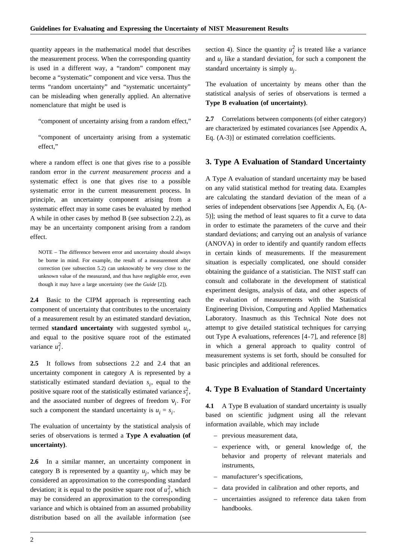quantity appears in the mathematical model that describes the measurement process. When the corresponding quantity is used in a different way, a "random" component may become a "systematic" component and vice versa. Thus the terms "random uncertainty" and "systematic uncertainty" can be misleading when generally applied. An alternative nomenclature that might be used is

"component of uncertainty arising from a random effect,"

"component of uncertainty arising from a systematic effect,"

where a random effect is one that gives rise to a possible random error in the *current measurement process* and a systematic effect is one that gives rise to a possible systematic error in the current measurement process. In principle, an uncertainty component arising from a systematic effect may in some cases be evaluated by method A while in other cases by method B (see subsection 2.2), as may be an uncertainty component arising from a random effect.

NOTE – The difference between error and uncertainty should always be borne in mind. For example, the result of a measurement after correction (see subsection 5.2) can unknowably be very close to the unknown value of the measurand, and thus have negligible error, even though it may have a large uncertainty (see the *Guide* [2]).

**2.4** Basic to the CIPM approach is representing each component of uncertainty that contributes to the uncertainty of a measurement result by an estimated standard deviation, termed **standard uncertainty** with suggested symbol  $u_i$ , and equal to the positive square root of the estimated variance  $u_i^2$ .

**2.5** It follows from subsections 2.2 and 2.4 that an uncertainty component in category A is represented by a statistically estimated standard deviation  $s_i$ , equal to the positive square root of the statistically estimated variance  $s_i^2$ , and the associated number of degrees of freedom ν*<sup>i</sup>* . For such a component the standard uncertainty is  $u_i = s_i$ .

The evaluation of uncertainty by the statistical analysis of series of observations is termed a **Type A evaluation (of uncertainty)**.

**2.6** In a similar manner, an uncertainty component in category B is represented by a quantity  $u_j$ , which may be considered an approximation to the corresponding standard deviation; it is equal to the positive square root of  $u_j^2$ , which may be considered an approximation to the corresponding variance and which is obtained from an assumed probability distribution based on all the available information (see

section 4). Since the quantity  $u_j^2$  is treated like a variance and  $u_i$  like a standard deviation, for such a component the standard uncertainty is simply *uj* .

The evaluation of uncertainty by means other than the statistical analysis of series of observations is termed a **Type B evaluation (of uncertainty)**.

**2.7** Correlations between components (of either category) are characterized by estimated covariances [see Appendix A, Eq. (A-3)] or estimated correlation coefficients.

### **3. Type A Evaluation of Standard Uncertainty**

A Type A evaluation of standard uncertainty may be based on any valid statistical method for treating data. Examples are calculating the standard deviation of the mean of a series of independent observations [see Appendix A, Eq. (A-5)]; using the method of least squares to fit a curve to data in order to estimate the parameters of the curve and their standard deviations; and carrying out an analysis of variance (ANOVA) in order to identify and quantify random effects in certain kinds of measurements. If the measurement situation is especially complicated, one should consider obtaining the guidance of a statistician. The NIST staff can consult and collaborate in the development of statistical experiment designs, analysis of data, and other aspects of the evaluation of measurements with the Statistical Engineering Division, Computing and Applied Mathematics Laboratory. Inasmuch as this Technical Note does not attempt to give detailed statistical techniques for carrying out Type A evaluations, references [4-7], and reference [8] in which a general approach to quality control of measurement systems is set forth, should be consulted for basic principles and additional references.

### **4. Type B Evaluation of Standard Uncertainty**

**4.1** A Type B evaluation of standard uncertainty is usually based on scientific judgment using all the relevant information available, which may include

- previous measurement data,
- experience with, or general knowledge of, the behavior and property of relevant materials and instruments,
- manufacturer's specifications,
- data provided in calibration and other reports, and
- uncertainties assigned to reference data taken from handbooks.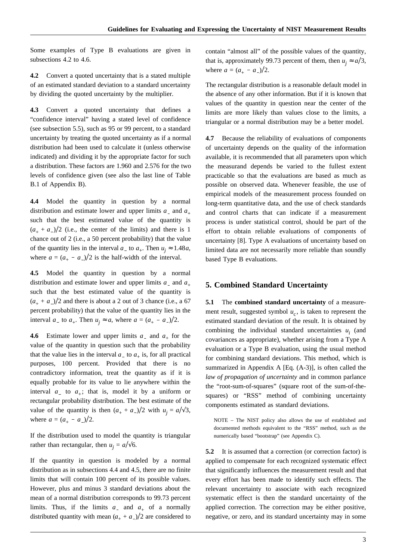Some examples of Type B evaluations are given in subsections 4.2 to 4.6.

**4.2** Convert a quoted uncertainty that is a stated multiple of an estimated standard deviation to a standard uncertainty by dividing the quoted uncertainty by the multiplier.

**4.3** Convert a quoted uncertainty that defines a "confidence interval" having a stated level of confidence (see subsection 5.5), such as 95 or 99 percent, to a standard uncertainty by treating the quoted uncertainty as if a normal distribution had been used to calculate it (unless otherwise indicated) and dividing it by the appropriate factor for such a distribution. These factors are 1.960 and 2.576 for the two levels of confidence given (see also the last line of Table B.1 of Appendix B).

**4.4** Model the quantity in question by a normal distribution and estimate lower and upper limits  $a_{-}$  and  $a_{+}$ such that the best estimated value of the quantity is  $(a_{+} + a_{-})/2$  (i.e., the center of the limits) and there is 1 chance out of 2 (i.e., a 50 percent probability) that the value of the quantity lies in the interval  $a_{-}$  to  $a_{+}$ . Then  $u_i \approx 1.48a$ , where  $a = (a_{+} - a_{-})/2$  is the half-width of the interval.

**4.5** Model the quantity in question by a normal distribution and estimate lower and upper limits  $a_{-}$  and  $a_{+}$ such that the best estimated value of the quantity is  $(a_+ + a_-)/2$  and there is about a 2 out of 3 chance (i.e., a 67) percent probability) that the value of the quantity lies in the interval  $a_{-}$  to  $a_{+}$ . Then  $u_i \approx a$ , where  $a = (a_{+} - a_{-})/2$ .

**4.6** Estimate lower and upper limits  $a_{-}$  and  $a_{+}$  for the value of the quantity in question such that the probability that the value lies in the interval  $a_{\perp}$  to  $a_{\perp}$  is, for all practical purposes, 100 percent. Provided that there is no contradictory information, treat the quantity as if it is equally probable for its value to lie anywhere within the interval  $a_{-}$  to  $a_{+}$ ; that is, model it by a uniform or rectangular probability distribution. The best estimate of the value of the quantity is then  $(a_+ + a_-)/2$  with  $u_i = a/\sqrt{3}$ , where  $a = (a_{+} - a_{-})/2$ .

If the distribution used to model the quantity is triangular rather than rectangular, then  $u_i = a/\sqrt{6}$ .

If the quantity in question is modeled by a normal distribution as in subsections 4.4 and 4.5, there are no finite limits that will contain 100 percent of its possible values. However, plus and minus 3 standard deviations about the mean of a normal distribution corresponds to 99.73 percent limits. Thus, if the limits  $a_{-}$  and  $a_{+}$  of a normally distributed quantity with mean  $(a_+ + a_-)/2$  are considered to contain "almost all" of the possible values of the quantity, that is, approximately 99.73 percent of them, then  $u_i \approx a/3$ , where  $a = (a_{+} - a_{-})/2$ .

The rectangular distribution is a reasonable default model in the absence of any other information. But if it is known that values of the quantity in question near the center of the limits are more likely than values close to the limits, a triangular or a normal distribution may be a better model.

**4.7** Because the reliability of evaluations of components of uncertainty depends on the quality of the information available, it is recommended that all parameters upon which the measurand depends be varied to the fullest extent practicable so that the evaluations are based as much as possible on observed data. Whenever feasible, the use of empirical models of the measurement process founded on long-term quantitative data, and the use of check standards and control charts that can indicate if a measurement process is under statistical control, should be part of the effort to obtain reliable evaluations of components of uncertainty [8]. Type A evaluations of uncertainty based on limited data are not necessarily more reliable than soundly based Type B evaluations.

## **5. Combined Standard Uncertainty**

**5.1** The **combined standard uncertainty** of a measurement result, suggested symbol  $u_c$ , is taken to represent the estimated standard deviation of the result. It is obtained by combining the individual standard uncertainties  $u_i$  (and covariances as appropriate), whether arising from a Type A evaluation or a Type B evaluation, using the usual method for combining standard deviations. This method, which is summarized in Appendix A [Eq. (A-3)], is often called the *law of propagation of uncertainty* and in common parlance the "root-sum-of-squares" (square root of the sum-of-thesquares) or "RSS" method of combining uncertainty components estimated as standard deviations.

NOTE – The NIST policy also allows the use of established and documented methods equivalent to the "RSS" method, such as the numerically based "bootstrap" (see Appendix C).

**5.2** It is assumed that a correction (or correction factor) is applied to compensate for each recognized systematic effect that significantly influences the measurement result and that every effort has been made to identify such effects. The relevant uncertainty to associate with each recognized systematic effect is then the standard uncertainty of the applied correction. The correction may be either positive, negative, or zero, and its standard uncertainty may in some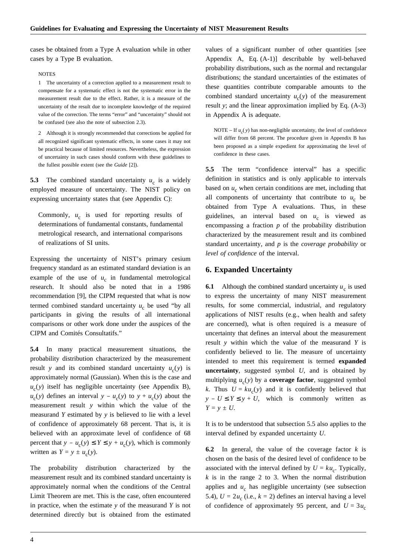cases be obtained from a Type A evaluation while in other cases by a Type B evaluation.

### **NOTES**

1 The uncertainty of a correction applied to a measurement result to compensate for a systematic effect is not the systematic error in the measurement result due to the effect. Rather, it is a measure of the uncertainty of the result due to incomplete knowledge of the required value of the correction. The terms "error" and "uncertainty" should not be confused (see also the note of subsection 2.3).

2 Although it is strongly recommended that corrections be applied for all recognized significant systematic effects, in some cases it may not be practical because of limited resources. Nevertheless, the expression of uncertainty in such cases should conform with these guidelines to the fullest possible extent (see the *Guide* [2]).

**5.3** The combined standard uncertainty  $u_c$  is a widely employed measure of uncertainty. The NIST policy on expressing uncertainty states that (see Appendix C):

Commonly,  $u_c$  is used for reporting results of determinations of fundamental constants, fundamental metrological research, and international comparisons of realizations of SI units.

Expressing the uncertainty of NIST's primary cesium frequency standard as an estimated standard deviation is an example of the use of  $u_c$  in fundamental metrological research. It should also be noted that in a 1986 recommendation [9], the CIPM requested that what is now termed combined standard uncertainty  $u_c$  be used "by all participants in giving the results of all international comparisons or other work done under the auspices of the CIPM and Comités Consultatifs."

**5.4** In many practical measurement situations, the probability distribution characterized by the measurement result *y* and its combined standard uncertainty  $u_c(y)$  is approximately normal (Gaussian). When this is the case and  $u_c(y)$  itself has negligible uncertainty (see Appendix B),  $u_c(y)$  defines an interval  $y - u_c(y)$  to  $y + u_c(y)$  about the measurement result *y* within which the value of the measurand *Y* estimated by *y* is believed to lie with a level of confidence of approximately 68 percent. That is, it is believed with an approximate level of confidence of 68 percent that  $y - u_c(y) \le Y \le y + u_c(y)$ , which is commonly written as  $Y = y \pm u_c(y)$ .

The probability distribution characterized by the measurement result and its combined standard uncertainty is approximately normal when the conditions of the Central Limit Theorem are met. This is the case, often encountered in practice, when the estimate *y* of the measurand *Y* is not determined directly but is obtained from the estimated values of a significant number of other quantities [see Appendix A, Eq. (A-1)] describable by well-behaved probability distributions, such as the normal and rectangular distributions; the standard uncertainties of the estimates of these quantities contribute comparable amounts to the combined standard uncertainty  $u_c(y)$  of the measurement result *y*; and the linear approximation implied by Eq. (A-3) in Appendix A is adequate.

NOTE – If  $u_c(y)$  has non-negligible uncertainty, the level of confidence will differ from 68 percent. The procedure given in Appendix B has been proposed as a simple expedient for approximating the level of confidence in these cases.

**5.5** The term "confidence interval" has a specific definition in statistics and is only applicable to intervals based on  $u<sub>c</sub>$  when certain conditions are met, including that all components of uncertainty that contribute to  $u_c$  be obtained from Type A evaluations. Thus, in these guidelines, an interval based on  $u_c$  is viewed as encompassing a fraction  $p$  of the probability distribution characterized by the measurement result and its combined standard uncertainty, and *p* is the *coverage probability* or *level of confidence* of the interval.

# **6. Expanded Uncertainty**

**6.1** Although the combined standard uncertainty  $u_c$  is used to express the uncertainty of many NIST measurement results, for some commercial, industrial, and regulatory applications of NIST results (e.g., when health and safety are concerned), what is often required is a measure of uncertainty that defines an interval about the measurement result *y* within which the value of the measurand *Y* is confidently believed to lie. The measure of uncertainty intended to meet this requirement is termed **expanded uncertainty**, suggested symbol *U*, and is obtained by multiplying  $u_c(y)$  by a **coverage factor**, suggested symbol *k*. Thus  $U = ku_c(y)$  and it is confidently believed that  $y - U \le Y \le y + U$ , which is commonly written as  $Y = y \pm U$ .

It is to be understood that subsection 5.5 also applies to the interval defined by expanded uncertainty *U*.

**6.2** In general, the value of the coverage factor *k* is chosen on the basis of the desired level of confidence to be associated with the interval defined by  $U = ku_c$ . Typically,  $k$  is in the range 2 to 3. When the normal distribution applies and  $u_c$  has negligible uncertainty (see subsection 5.4),  $U = 2u_c$  (i.e.,  $k = 2$ ) defines an interval having a level of confidence of approximately 95 percent, and  $U = 3u_c$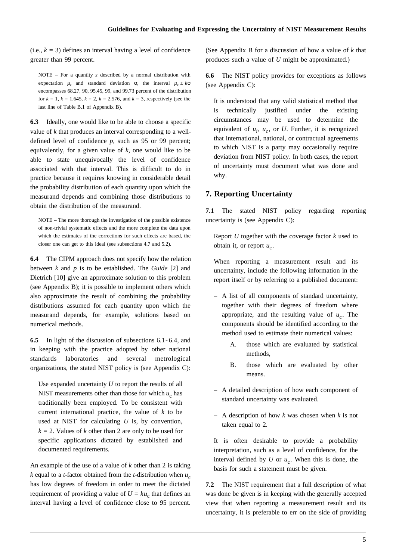(i.e.,  $k = 3$ ) defines an interval having a level of confidence greater than 99 percent.

NOTE – For a quantity *z* described by a normal distribution with expectation  $\mu_z$  and standard deviation  $\sigma$ , the interval  $\mu_z \pm k\sigma$ encompasses 68.27, 90, 95.45, 99, and 99.73 percent of the distribution for  $k = 1$ ,  $k = 1.645$ ,  $k = 2$ ,  $k = 2.576$ , and  $k = 3$ , respectively (see the last line of Table B.1 of Appendix B).

**6.3** Ideally, one would like to be able to choose a specific value of *k* that produces an interval corresponding to a welldefined level of confidence *p*, such as 95 or 99 percent; equivalently, for a given value of *k*, one would like to be able to state unequivocally the level of confidence associated with that interval. This is difficult to do in practice because it requires knowing in considerable detail the probability distribution of each quantity upon which the measurand depends and combining those distributions to obtain the distribution of the measurand.

NOTE – The more thorough the investigation of the possible existence of non-trivial systematic effects and the more complete the data upon which the estimates of the corrections for such effects are based, the closer one can get to this ideal (see subsections 4.7 and 5.2).

**6.4** The CIPM approach does not specify how the relation between *k* and *p* is to be established. The *Guide* [2] and Dietrich [10] give an approximate solution to this problem (see Appendix B); it is possible to implement others which also approximate the result of combining the probability distributions assumed for each quantity upon which the measurand depends, for example, solutions based on numerical methods.

**6.5** In light of the discussion of subsections 6.1- 6.4, and in keeping with the practice adopted by other national standards laboratories and several metrological organizations, the stated NIST policy is (see Appendix C):

Use expanded uncertainty *U* to report the results of all NIST measurements other than those for which  $u_c$  has traditionally been employed. To be consistent with current international practice, the value of *k* to be used at NIST for calculating *U* is, by convention,  $k = 2$ . Values of *k* other than 2 are only to be used for specific applications dictated by established and documented requirements.

An example of the use of a value of *k* other than 2 is taking *k* equal to a *t*-factor obtained from the *t*-distribution when  $u_c$ has low degrees of freedom in order to meet the dictated requirement of providing a value of  $U = ku_c$  that defines an interval having a level of confidence close to 95 percent. (See Appendix B for a discussion of how a value of *k* that produces such a value of *U* might be approximated.)

**6.6** The NIST policy provides for exceptions as follows (see Appendix C):

It is understood that any valid statistical method that is technically justified under the existing circumstances may be used to determine the equivalent of  $u_i$ ,  $u_c$ , or *U*. Further, it is recognized that international, national, or contractual agreements to which NIST is a party may occasionally require deviation from NIST policy. In both cases, the report of uncertainty must document what was done and why.

# **7. Reporting Uncertainty**

**7.1** The stated NIST policy regarding reporting uncertainty is (see Appendix C):

Report *U* together with the coverage factor *k* used to obtain it, or report  $u_c$ .

When reporting a measurement result and its uncertainty, include the following information in the report itself or by referring to a published document:

- A list of all components of standard uncertainty, together with their degrees of freedom where appropriate, and the resulting value of  $u_c$ . The components should be identified according to the method used to estimate their numerical values:
	- A. those which are evaluated by statistical methods,
	- B. those which are evaluated by other means.
- A detailed description of how each component of standard uncertainty was evaluated.
- A description of how *k* was chosen when *k* is not taken equal to 2.

It is often desirable to provide a probability interpretation, such as a level of confidence, for the interval defined by  $U$  or  $u_c$ . When this is done, the basis for such a statement must be given.

**7.2** The NIST requirement that a full description of what was done be given is in keeping with the generally accepted view that when reporting a measurement result and its uncertainty, it is preferable to err on the side of providing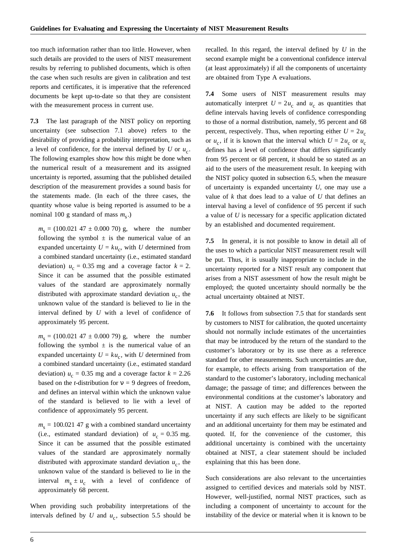too much information rather than too little. However, when such details are provided to the users of NIST measurement results by referring to published documents, which is often the case when such results are given in calibration and test reports and certificates, it is imperative that the referenced documents be kept up-to-date so that they are consistent with the measurement process in current use.

**7.3** The last paragraph of the NIST policy on reporting uncertainty (see subsection 7.1 above) refers to the desirability of providing a probability interpretation, such as a level of confidence, for the interval defined by  $U$  or  $u_c$ . The following examples show how this might be done when the numerical result of a measurement and its assigned uncertainty is reported, assuming that the published detailed description of the measurement provides a sound basis for the statements made. (In each of the three cases, the quantity whose value is being reported is assumed to be a nominal 100 g standard of mass  $m_s$ .)

 $m_s = (100.021 \, 47 \pm 0.000 \, 70)$  g, where the number following the symbol  $\pm$  is the numerical value of an expanded uncertainty  $U = ku_c$ , with *U* determined from a combined standard uncertainty (i.e., estimated standard deviation)  $u_c = 0.35$  mg and a coverage factor  $k = 2$ . Since it can be assumed that the possible estimated values of the standard are approximately normally distributed with approximate standard deviation  $u_c$ , the unknown value of the standard is believed to lie in the interval defined by *U* with a level of confidence of approximately 95 percent.

 $m_s = (100.021 \, 47 \pm 0.000 \, 79)$  g, where the number following the symbol  $\pm$  is the numerical value of an expanded uncertainty  $U = ku_c$ , with *U* determined from a combined standard uncertainty (i.e., estimated standard deviation)  $u_c = 0.35$  mg and a coverage factor  $k = 2.26$ based on the *t*-distribution for  $v = 9$  degrees of freedom, and defines an interval within which the unknown value of the standard is believed to lie with a level of confidence of approximately 95 percent.

 $m<sub>s</sub> = 100.021$  47 g with a combined standard uncertainty (i.e., estimated standard deviation) of  $u_c = 0.35$  mg. Since it can be assumed that the possible estimated values of the standard are approximately normally distributed with approximate standard deviation  $u_c$ , the unknown value of the standard is believed to lie in the interval  $m_s \pm u_c$  with a level of confidence of approximately 68 percent.

When providing such probability interpretations of the intervals defined by  $U$  and  $u_c$ , subsection 5.5 should be recalled. In this regard, the interval defined by *U* in the second example might be a conventional confidence interval (at least approximately) if all the components of uncertainty are obtained from Type A evaluations.

**7.4** Some users of NIST measurement results may automatically interpret  $U = 2u_c$  and  $u_c$  as quantities that define intervals having levels of confidence corresponding to those of a normal distribution, namely, 95 percent and 68 percent, respectively. Thus, when reporting either  $U = 2u_c$ or  $u_c$ , if it is known that the interval which  $U = 2u_c$  or  $u_c$ defines has a level of confidence that differs significantly from 95 percent or 68 percent, it should be so stated as an aid to the users of the measurement result. In keeping with the NIST policy quoted in subsection 6.5, when the measure of uncertainty is expanded uncertainty *U*, one may use a value of *k* that does lead to a value of *U* that defines an interval having a level of confidence of 95 percent if such a value of *U* is necessary for a specific application dictated by an established and documented requirement.

**7.5** In general, it is not possible to know in detail all of the uses to which a particular NIST measurement result will be put. Thus, it is usually inappropriate to include in the uncertainty reported for a NIST result any component that arises from a NIST assessment of how the result might be employed; the quoted uncertainty should normally be the actual uncertainty obtained at NIST.

**7.6** It follows from subsection 7.5 that for standards sent by customers to NIST for calibration, the quoted uncertainty should not normally include estimates of the uncertainties that may be introduced by the return of the standard to the customer's laboratory or by its use there as a reference standard for other measurements. Such uncertainties are due, for example, to effects arising from transportation of the standard to the customer's laboratory, including mechanical damage; the passage of time; and differences between the environmental conditions at the customer's laboratory and at NIST. A caution may be added to the reported uncertainty if any such effects are likely to be significant and an additional uncertainty for them may be estimated and quoted. If, for the convenience of the customer, this additional uncertainty is combined with the uncertainty obtained at NIST, a clear statement should be included explaining that this has been done.

Such considerations are also relevant to the uncertainties assigned to certified devices and materials sold by NIST. However, well-justified, normal NIST practices, such as including a component of uncertainty to account for the instability of the device or material when it is known to be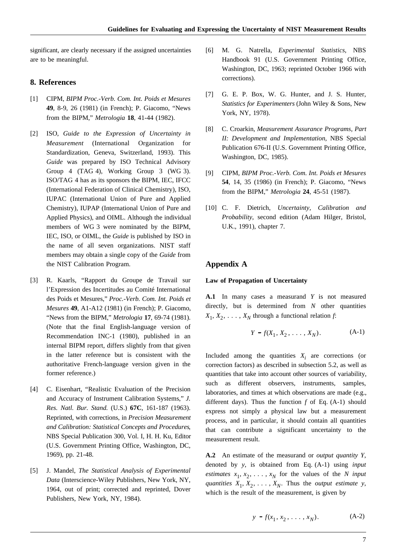significant, are clearly necessary if the assigned uncertainties are to be meaningful.

## **8. References**

- [1] CIPM, *BIPM Proc.-Verb. Com. Int. Poids et Mesures* **49**, 8-9, 26 (1981) (in French); P. Giacomo, "News from the BIPM," *Metrologia* **18**, 41-44 (1982).
- [2] ISO, *Guide to the Expression of Uncertainty in Measurement* (International Organization for Standardization, Geneva, Switzerland, 1993). This *Guide* was prepared by ISO Technical Advisory Group 4 (TAG 4), Working Group 3 (WG 3). ISO/TAG 4 has as its sponsors the BIPM, IEC, IFCC (International Federation of Clinical Chemistry), ISO, IUPAC (International Union of Pure and Applied Chemistry), IUPAP (International Union of Pure and Applied Physics), and OIML. Although the individual members of WG 3 were nominated by the BIPM, IEC, ISO, or OIML, the *Guide* is published by ISO in the name of all seven organizations. NIST staff members may obtain a single copy of the *Guide* from the NIST Calibration Program.
- [3] R. Kaarls, "Rapport du Groupe de Travail sur l'Expression des Incertitudes au Comité International des Poids et Mesures," *Proc.-Verb. Com. Int. Poids et Mesures* **49**, A1-A12 (1981) (in French); P. Giacomo, "News from the BIPM," *Metrologia* **17**, 69-74 (1981). (Note that the final English-language version of Recommendation INC-1 (1980), published in an internal BIPM report, differs slightly from that given in the latter reference but is consistent with the authoritative French-language version given in the former reference.)
- [4] C. Eisenhart, "Realistic Evaluation of the Precision and Accuracy of Instrument Calibration Systems," *J. Res. Natl. Bur. Stand.* (U.S.) **67C**, 161-187 (1963). Reprinted, with corrections, in *Precision Measurement and Calibration: Statistical Concepts and Procedures*, NBS Special Publication 300, Vol. I, H. H. Ku, Editor (U.S. Government Printing Office, Washington, DC, 1969), pp. 21-48.
- [5] J. Mandel, *The Statistical Analysis of Experimental Data* (Interscience-Wiley Publishers, New York, NY, 1964, out of print; corrected and reprinted, Dover Publishers, New York, NY, 1984).
- [6] M. G. Natrella, *Experimental Statistics*, NBS Handbook 91 (U.S. Government Printing Office, Washington, DC, 1963; reprinted October 1966 with corrections).
- [7] G. E. P. Box, W. G. Hunter, and J. S. Hunter, *Statistics for Experimenters* (John Wiley & Sons, New York, NY, 1978).
- [8] C. Croarkin, *Measurement Assurance Programs, Part II: Development and Implementation*, NBS Special Publication 676-II (U.S. Government Printing Office, Washington, DC, 1985).
- [9] CIPM, *BIPM Proc.-Verb. Com. Int. Poids et Mesures* **54**, 14, 35 (1986) (in French); P. Giacomo, "News from the BIPM," *Metrologia* **24**, 45-51 (1987).
- [10] C. F. Dietrich, *Uncertainty, Calibration and Probability*, second edition (Adam Hilger, Bristol, U.K., 1991), chapter 7.

## **Appendix A**

### **Law of Propagation of Uncertainty**

**A.1** In many cases a measurand *Y* is not measured directly, but is determined from *N* other quantities  $X_1, X_2, \ldots, X_N$  through a functional relation *f*:

$$
Y = f(X_1, X_2, \dots, X_N).
$$
 (A-1)

Included among the quantities  $X_i$  are corrections (or correction factors) as described in subsection 5.2, as well as quantities that take into account other sources of variability, such as different observers, instruments, samples, laboratories, and times at which observations are made (e.g., different days). Thus the function *f* of Eq. (A-1) should express not simply a physical law but a measurement process, and in particular, it should contain all quantities that can contribute a significant uncertainty to the measurement result.

**A.2** An estimate of the measurand or *output quantity Y*, denoted by *y*, is obtained from Eq. (A-1) using *input estimates*  $x_1, x_2, \ldots, x_N$  for the values of the *N* input *quantities*  $X_1, X_2, \ldots, X_N$ . Thus the *output estimate* y, which is the result of the measurement, is given by

$$
y = f(x_1, x_2, \dots, x_N).
$$
 (A-2)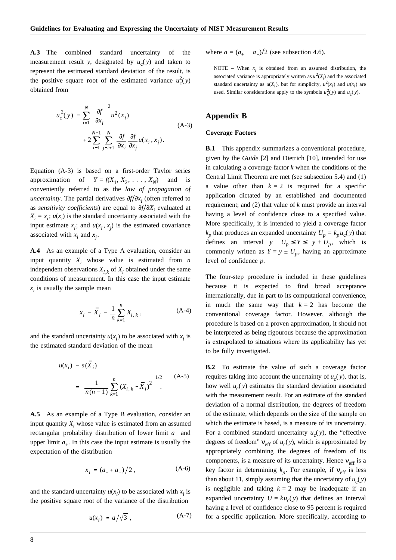**A.3** The combined standard uncertainty of the measurement result *y*, designated by  $u_c(y)$  and taken to represent the estimated standard deviation of the result, is the positive square root of the estimated variance  $u_c^2(y)$ obtained from

$$
u_c^2(y) = \sum_{i=1}^N \left(\frac{\partial f}{\partial x_i}\right)^2 u^2(x_i)
$$
  
+2
$$
\sum_{i=1}^{N-1} \sum_{j=i+1}^N \frac{\partial f}{\partial x_i} \frac{\partial f}{\partial x_j} u(x_i, x_j).
$$
 (A-3)

Equation (A-3) is based on a first-order Taylor series approximation of  $Y = f(X_1, X_2, \ldots, X_N)$  and is conveniently referred to as the *law of propagation of uncertainty*. The partial derivatives  $\partial f/\partial x_i$  (often referred to as *sensitivity coefficients*) are equal to <sup>∂</sup>*<sup>f</sup>*/∂*Xi* evaluated at  $X_i = x_i$ ;  $u(x_i)$  is the standard uncertainty associated with the input estimate  $x_i$ ; and  $u(x_i, x_j)$  is the estimated covariance associated with  $x_i$  and  $x_j$ .

**A.4** As an example of a Type A evaluation, consider an input quantity  $X_i$  whose value is estimated from  $n$ independent observations  $X_{i,k}$  of  $X_i$  obtained under the same conditions of measurement. In this case the input estimate  $x_i$  is usually the sample mean

$$
x_i = \overline{X}_i = \frac{1}{n} \sum_{k=1}^n X_{i,k}, \qquad (A-4)
$$

and the standard uncertainty  $u(x_i)$  to be associated with  $x_i$  is the estimated standard deviation of the mean

$$
u(x_i) = s(X_i)
$$
  
=  $\left(\frac{1}{n(n-1)} \sum_{k=1}^n (X_{i,k} - \overline{X}_i)^2\right)^{1/2}$ . (A-5)

**A.5** As an example of a Type B evaluation, consider an input quantity  $X_i$ ; whose value is estimated from an assumed rectangular probability distribution of lower limit  $a_$  and upper limit  $a_{+}$ . In this case the input estimate is usually the expectation of the distribution

$$
x_i = (a_+ + a_-)/2, \qquad (A-6)
$$

and the standard uncertainty  $u(x_i)$  to be associated with  $x_i$  is the positive square root of the variance of the distribution

$$
u(x_i) = a/\sqrt{3}, \qquad (A-7)
$$

where  $a = (a_{+} - a_{-})/2$  (see subsection 4.6).

NOTE – When  $x_i$  is obtained from an assumed distribution, the associated variance is appropriately written as  $u^2(X_i)$  and the associated standard uncertainty as  $u(X_i)$ , but for simplicity,  $u^2(x_i)$  and  $u(x_i)$  are used. Similar considerations apply to the symbols  $u_c^2(y)$  and  $u_c(y)$ .

## **Appendix B**

#### **Coverage Factors**

**B.1** This appendix summarizes a conventional procedure, given by the *Guide* [2] and Dietrich [10], intended for use in calculating a coverage factor *k* when the conditions of the Central Limit Theorem are met (see subsection 5.4) and (1) a value other than  $k = 2$  is required for a specific application dictated by an established and documented requirement; and (2) that value of *k* must provide an interval having a level of confidence close to a specified value. More specifically, it is intended to yield a coverage factor  $k_p$  that produces an expanded uncertainty  $U_p = k_p u_c(y)$  that defines an interval  $y - U_p \le Y \le y + U_p$ , which is commonly written as  $Y = y \pm U_p$ , having an approximate level of confidence *p*.

The four-step procedure is included in these guidelines because it is expected to find broad acceptance internationally, due in part to its computational convenience, in much the same way that  $k = 2$  has become the conventional coverage factor. However, although the procedure is based on a proven approximation, it should not be interpreted as being rigourous because the approximation is extrapolated to situations where its applicability has yet to be fully investigated.

**B.2** To estimate the value of such a coverage factor requires taking into account the uncertainty of  $u_c(y)$ , that is, how well  $u_c(y)$  estimates the standard deviation associated with the measurement result. For an estimate of the standard deviation of a normal distribution, the degrees of freedom of the estimate, which depends on the size of the sample on which the estimate is based, is a measure of its uncertainty. For a combined standard uncertainty  $u_c(y)$ , the "effective degrees of freedom"  $v_{\text{eff}}$  of  $u_c(y)$ , which is approximated by appropriately combining the degrees of freedom of its components, is a measure of its uncertainty. Hence  $v_{\text{eff}}$  is a key factor in determining  $k_p$ . For example, if  $v_{\text{eff}}$  is less than about 11, simply assuming that the uncertainty of  $u_c(y)$ is negligible and taking  $k = 2$  may be inadequate if an expanded uncertainty  $U = ku_c(y)$  that defines an interval having a level of confidence close to 95 percent is required for a specific application. More specifically, according to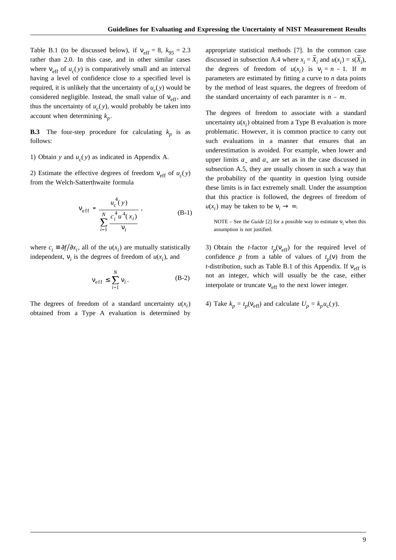Table B.1 (to be discussed below), if  $v_{\text{eff}} = 8$ ,  $k_{95} = 2.3$ rather than 2.0. In this case, and in other similar cases where  $v_{eff}$  of  $u_c(y)$  is comparatively small and an interval having a level of confidence close to a specified level is required, it is unlikely that the uncertainty of  $u_c(y)$  would be considered negligible. Instead, the small value of  $v_{\text{eff}}$ , and thus the uncertainty of  $u_c(y)$ , would probably be taken into account when determining  $k_p$ .

**B.3** The four-step procedure for calculating  $k_p$  is as follows:

1) Obtain *y* and  $u_c(y)$  as indicated in Appendix A.

2) Estimate the effective degrees of freedom  $v_{eff}$  of  $u_c(y)$ from the Welch-Satterthwaite formula

$$
v_{eff} = \frac{u_c^4(y)}{\sum_{i=1}^N \frac{c_i^4 u^4(x_i)}{v_i}},
$$
 (B-1)

where  $c_i \equiv \partial f / \partial x_i$ , all of the *u*(*x<sub>i</sub>*) are mutually statistically independent,  $v_i$  is the degrees of freedom of  $u(x_i)$ , and

$$
\mathsf{v}_{\text{eff}} \le \sum_{i=1}^{N} \mathsf{v}_i. \tag{B-2}
$$

The degrees of freedom of a standard uncertainty  $u(x_i)$ obtained from a Type A evaluation is determined by appropriate statistical methods [7]. In the common case discussed in subsection A.4 where  $x_i = X_i$  and  $u(x_i) = s(X_i)$ , the degrees of freedom of  $u(x_i)$  is  $v_i = n - 1$ . If *m* parameters are estimated by fitting a curve to *n* data points by the method of least squares, the degrees of freedom of the standard uncertainty of each paramter is  $n - m$ .

The degrees of freedom to associate with a standard uncertainty  $u(x_i)$  obtained from a Type B evaluation is more problematic. However, it is common practice to carry out such evaluations in a manner that ensures that an underestimation is avoided. For example, when lower and upper limits  $a_{-}$  and  $a_{+}$  are set as in the case discussed in subsection A.5, they are usually chosen in such a way that the probability of the quantity in question lying outside these limits is in fact extremely small. Under the assumption that this practice is followed, the degrees of freedom of  $u(x_i)$  may be taken to be  $v_i \rightarrow \infty$ .

NOTE – See the *Guide* [2] for a possible way to estimate  $v_i$  when this assumption is not justified.

3) Obtain the *t*-factor  $t_p(V_{\text{eff}})$  for the required level of confidence *p* from a table of values of  $t_p(v)$  from the *t*-distribution, such as Table B.1 of this Appendix. If  $v_{eff}$  is not an integer, which will usually be the case, either interpolate or truncate  $v_{\text{eff}}$  to the next lower integer.

4) Take  $k_p = t_p(v_{\text{eff}})$  and calculate  $U_p = k_p u_c(y)$ .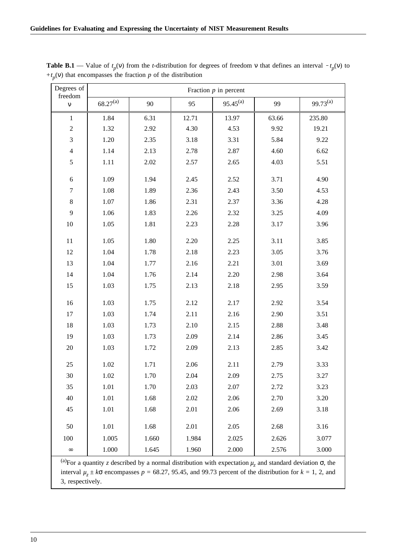| Degrees of<br>freedom                                                                                          | Fraction $p$ in percent |       |       |               |       |               |  |
|----------------------------------------------------------------------------------------------------------------|-------------------------|-------|-------|---------------|-------|---------------|--|
| $\mathsf{v}$                                                                                                   | $68.27^{(a)}$           | 90    | 95    | $95.45^{(a)}$ | 99    | $99.73^{(a)}$ |  |
| $\mathbf{1}$                                                                                                   | 1.84                    | 6.31  | 12.71 | 13.97         | 63.66 | 235.80        |  |
| $\sqrt{2}$                                                                                                     | 1.32                    | 2.92  | 4.30  | 4.53          | 9.92  | 19.21         |  |
| $\mathfrak{Z}$                                                                                                 | 1.20                    | 2.35  | 3.18  | 3.31          | 5.84  | 9.22          |  |
| $\overline{4}$                                                                                                 | 1.14                    | 2.13  | 2.78  | 2.87          | 4.60  | 6.62          |  |
| $\sqrt{5}$                                                                                                     | 1.11                    | 2.02  | 2.57  | 2.65          | 4.03  | 5.51          |  |
| $\sqrt{6}$                                                                                                     | 1.09                    | 1.94  | 2.45  | 2.52          | 3.71  | 4.90          |  |
| $\boldsymbol{7}$                                                                                               | 1.08                    | 1.89  | 2.36  | 2.43          | 3.50  | 4.53          |  |
| $\,8\,$                                                                                                        | 1.07                    | 1.86  | 2.31  | 2.37          | 3.36  | 4.28          |  |
| 9                                                                                                              | 1.06                    | 1.83  | 2.26  | 2.32          | 3.25  | 4.09          |  |
| $10\,$                                                                                                         | 1.05                    | 1.81  | 2.23  | 2.28          | 3.17  | 3.96          |  |
| 11                                                                                                             | 1.05                    | 1.80  | 2.20  | 2.25          | 3.11  | 3.85          |  |
| 12                                                                                                             | 1.04                    | 1.78  | 2.18  | 2.23          | 3.05  | 3.76          |  |
| 13                                                                                                             | 1.04                    | 1.77  | 2.16  | 2.21          | 3.01  | 3.69          |  |
| 14                                                                                                             | 1.04                    | 1.76  | 2.14  | 2.20          | 2.98  | 3.64          |  |
| 15                                                                                                             | 1.03                    | 1.75  | 2.13  | 2.18          | 2.95  | 3.59          |  |
| 16                                                                                                             | 1.03                    | 1.75  | 2.12  | 2.17          | 2.92  | 3.54          |  |
| 17                                                                                                             | 1.03                    | 1.74  | 2.11  | 2.16          | 2.90  | 3.51          |  |
| 18                                                                                                             | 1.03                    | 1.73  | 2.10  | 2.15          | 2.88  | 3.48          |  |
| 19                                                                                                             | 1.03                    | 1.73  | 2.09  | 2.14          | 2.86  | 3.45          |  |
| $20\,$                                                                                                         | 1.03                    | 1.72  | 2.09  | 2.13          | 2.85  | 3.42          |  |
| $25\,$                                                                                                         | 1.02                    | 1.71  | 2.06  | 2.11          | 2.79  | 3.33          |  |
| 30                                                                                                             | 1.02                    | 1.70  | 2.04  | 2.09          | 2.75  | 3.27          |  |
| 35                                                                                                             | 1.01                    | 1.70  | 2.03  | 2.07          | 2.72  | 3.23          |  |
| 40                                                                                                             | 1.01                    | 1.68  | 2.02  | 2.06          | 2.70  | 3.20          |  |
| 45                                                                                                             | 1.01                    | 1.68  | 2.01  | 2.06          | 2.69  | 3.18          |  |
| 50                                                                                                             | 1.01                    | 1.68  | 2.01  | 2.05          | 2.68  | 3.16          |  |
| 100                                                                                                            | 1.005                   | 1.660 | 1.984 | 2.025         | 2.626 | 3.077         |  |
| $\infty$                                                                                                       | 1.000                   | 1.645 | 1.960 | 2.000         | 2.576 | 3.000         |  |
| (a) For a quantity z described by a normal distribution with expectation u and standard deviation $\sigma$ the |                         |       |       |               |       |               |  |

**Table B.1** — Value of  $t_p(v)$  from the *t*-distribution for degrees of freedom v that defines an interval  $-t_p(v)$  to  $+t_p(v)$  that encompasses the fraction *p* of the distribution

For a quantity *z* described by a normal distribution with expectation  $\mu_z$  and standard deviation  $\sigma$ , the interval  $\mu_z \pm k\sigma$  encompasses  $p = 68.27, 95.45,$  and 99.73 percent of the distribution for  $k = 1, 2$ , and 3, respectively.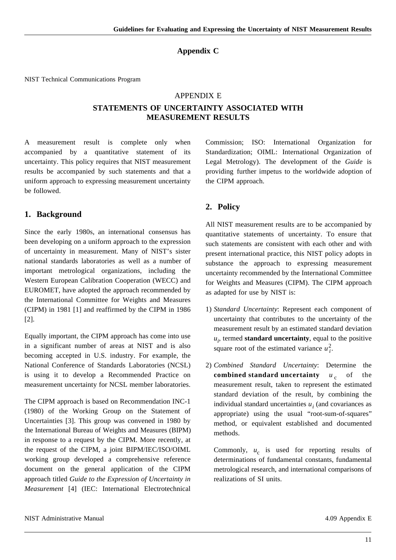# **Appendix C**

NIST Technical Communications Program

## APPENDIX E

# **STATEMENTS OF UNCERTAINTY ASSOCIATED WITH MEASUREMENT RESULTS**

A measurement result is complete only when accompanied by a quantitative statement of its uncertainty. This policy requires that NIST measurement results be accompanied by such statements and that a uniform approach to expressing measurement uncertainty be followed.

# **1. Background**

Since the early 1980s, an international consensus has been developing on a uniform approach to the expression of uncertainty in measurement. Many of NIST's sister national standards laboratories as well as a number of important metrological organizations, including the Western European Calibration Cooperation (WECC) and EUROMET, have adopted the approach recommended by the International Committee for Weights and Measures (CIPM) in 1981 [1] and reaffirmed by the CIPM in 1986 [2].

Equally important, the CIPM approach has come into use in a significant number of areas at NIST and is also becoming accepted in U.S. industry. For example, the National Conference of Standards Laboratories (NCSL) is using it to develop a Recommended Practice on measurement uncertainty for NCSL member laboratories.

The CIPM approach is based on Recommendation INC-1 (1980) of the Working Group on the Statement of Uncertainties [3]. This group was convened in 1980 by the International Bureau of Weights and Measures (BIPM) in response to a request by the CIPM. More recently, at the request of the CIPM, a joint BIPM/IEC/ISO/OIML working group developed a comprehensive reference document on the general application of the CIPM approach titled *Guide to the Expression of Uncertainty in Measurement* [4] (IEC: International Electrotechnical Commission; ISO: International Organization for Standardization; OIML: International Organization of Legal Metrology). The development of the *Guide* is providing further impetus to the worldwide adoption of the CIPM approach.

# **2. Policy**

All NIST measurement results are to be accompanied by quantitative statements of uncertainty. To ensure that such statements are consistent with each other and with present international practice, this NIST policy adopts in substance the approach to expressing measurement uncertainty recommended by the International Committee for Weights and Measures (CIPM). The CIPM approach as adapted for use by NIST is:

- 1) *Standard Uncertainty*: Represent each component of uncertainty that contributes to the uncertainty of the measurement result by an estimated standard deviation  $u_i$ , termed **standard uncertainty**, equal to the positive square root of the estimated variance  $u_i^2$ .
- 2) *Combined Standard Uncertainty*: Determine the **combined standard uncertainty**  $u_{\alpha}$  of the measurement result, taken to represent the estimated standard deviation of the result, by combining the individual standard uncertainties  $u_i$  (and covariances as appropriate) using the usual "root-sum-of-squares" method, or equivalent established and documented methods.

Commonly,  $u_c$  is used for reporting results of determinations of fundamental constants, fundamental metrological research, and international comparisons of realizations of SI units.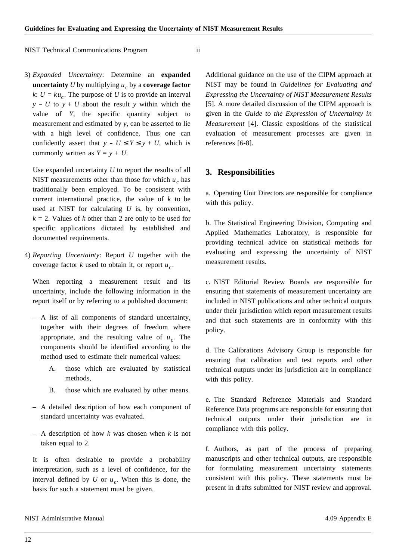## NIST Technical Communications Program ii

- 
- 3) *Expanded Uncertainty*: Determine an **expanded uncertainty** *U* by multiplying  $u_c$  by a **coverage factor** *k*:  $U = ku_c$ . The purpose of *U* is to provide an interval  $y - U$  to  $y + U$  about the result *y* within which the value of *Y*, the specific quantity subject to measurement and estimated by *y*, can be asserted to lie with a high level of confidence. Thus one can confidently assert that  $y - U \le Y \le y + U$ , which is commonly written as  $Y = y \pm U$ .

Use expanded uncertainty *U* to report the results of all NIST measurements other than those for which  $u_c$  has traditionally been employed. To be consistent with current international practice, the value of *k* to be used at NIST for calculating *U* is, by convention,  $k = 2$ . Values of *k* other than 2 are only to be used for specific applications dictated by established and documented requirements.

4) *Reporting Uncertainty*: Report *U* together with the coverage factor *k* used to obtain it, or report  $u_c$ .

When reporting a measurement result and its uncertainty, include the following information in the report itself or by referring to a published document:

- A list of all components of standard uncertainty, together with their degrees of freedom where appropriate, and the resulting value of  $u_c$ . The components should be identified according to the method used to estimate their numerical values:
	- A. those which are evaluated by statistical methods,
	- B. those which are evaluated by other means.
- A detailed description of how each component of standard uncertainty was evaluated.
- A description of how *k* was chosen when *k* is not taken equal to 2.

It is often desirable to provide a probability interpretation, such as a level of confidence, for the interval defined by  $U$  or  $u_c$ . When this is done, the basis for such a statement must be given.

Additional guidance on the use of the CIPM approach at NIST may be found in *Guidelines for Evaluating and Expressing the Uncertainty of NIST Measurement Results* [5]. A more detailed discussion of the CIPM approach is given in the *Guide to the Expression of Uncertainty in Measurement* [4]. Classic expositions of the statistical evaluation of measurement processes are given in references [6-8].

# **3. Responsibilities**

a. Operating Unit Directors are responsible for compliance with this policy.

b. The Statistical Engineering Division, Computing and Applied Mathematics Laboratory, is responsible for providing technical advice on statistical methods for evaluating and expressing the uncertainty of NIST measurement results.

c. NIST Editorial Review Boards are responsible for ensuring that statements of measurement uncertainty are included in NIST publications and other technical outputs under their jurisdiction which report measurement results and that such statements are in conformity with this policy.

d. The Calibrations Advisory Group is responsible for ensuring that calibration and test reports and other technical outputs under its jurisdiction are in compliance with this policy.

e. The Standard Reference Materials and Standard Reference Data programs are responsible for ensuring that technical outputs under their jurisdiction are in compliance with this policy.

f. Authors, as part of the process of preparing manuscripts and other technical outputs, are responsible for formulating measurement uncertainty statements consistent with this policy. These statements must be present in drafts submitted for NIST review and approval.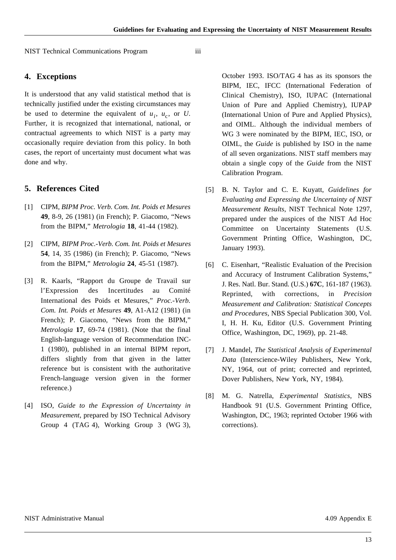NIST Technical Communications Program iii

# **4. Exceptions**

It is understood that any valid statistical method that is technically justified under the existing circumstances may be used to determine the equivalent of  $u_i$ ,  $u_c$ , or *U*. Further, it is recognized that international, national, or contractual agreements to which NIST is a party may occasionally require deviation from this policy. In both cases, the report of uncertainty must document what was done and why.

# **5. References Cited**

- [1] CIPM, *BIPM Proc. Verb. Com. Int. Poids et Mesures* **49**, 8-9, 26 (1981) (in French); P. Giacomo, "News from the BIPM," *Metrologia* **18**, 41-44 (1982).
- [2] CIPM, *BIPM Proc.-Verb. Com. Int. Poids et Mesures* **54**, 14, 35 (1986) (in French); P. Giacomo, "News from the BIPM," *Metrologia* **24**, 45-51 (1987).
- [3] R. Kaarls, "Rapport du Groupe de Travail sur l'Expression des Incertitudes au Comité International des Poids et Mesures," *Proc.-Verb. Com. Int. Poids et Mesures* **49**, A1-A12 (1981) (in French); P. Giacomo, "News from the BIPM," *Metrologia* **17**, 69-74 (1981). (Note that the final English-language version of Recommendation INC-1 (1980), published in an internal BIPM report, differs slightly from that given in the latter reference but is consistent with the authoritative French-language version given in the former reference.)
- [4] ISO, *Guide to the Expression of Uncertainty in Measurement*, prepared by ISO Technical Advisory Group 4 (TAG 4), Working Group 3 (WG 3),

October 1993. ISO/TAG 4 has as its sponsors the BIPM, IEC, IFCC (International Federation of Clinical Chemistry), ISO, IUPAC (International Union of Pure and Applied Chemistry), IUPAP (International Union of Pure and Applied Physics), and OIML. Although the individual members of WG 3 were nominated by the BIPM, IEC, ISO, or OIML, the *Guide* is published by ISO in the name of all seven organizations. NIST staff members may obtain a single copy of the *Guide* from the NIST Calibration Program.

- [5] B. N. Taylor and C. E. Kuyatt, *Guidelines for Evaluating and Expressing the Uncertainty of NIST Measurement Results*, NIST Technical Note 1297, prepared under the auspices of the NIST Ad Hoc Committee on Uncertainty Statements (U.S. Government Printing Office, Washington, DC, January 1993).
- [6] C. Eisenhart, "Realistic Evaluation of the Precision and Accuracy of Instrument Calibration Systems," J. Res. Natl. Bur. Stand. (U.S.) **67C**, 161-187 (1963). Reprinted, with corrections, in *Precision Measurement and Calibration: Statistical Concepts and Procedures*, NBS Special Publication 300, Vol. I, H. H. Ku, Editor (U.S. Government Printing Office, Washington, DC, 1969), pp. 21-48.
- [7] J. Mandel, *The Statistical Analysis of Experimental Data* (Interscience-Wiley Publishers, New York, NY, 1964, out of print; corrected and reprinted, Dover Publishers, New York, NY, 1984).
- [8] M. G. Natrella, *Experimental Statistics*, NBS Handbook 91 (U.S. Government Printing Office, Washington, DC, 1963; reprinted October 1966 with corrections).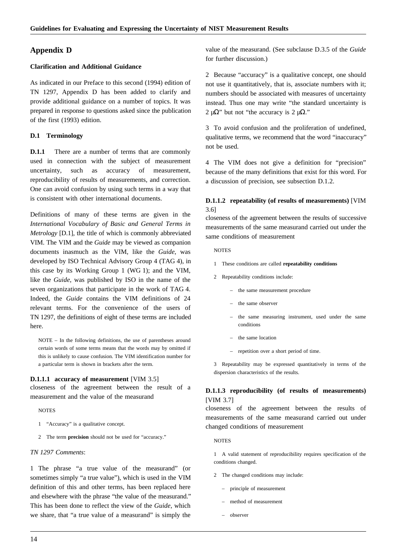# **Appendix D**

## **Clarification and Additional Guidance**

As indicated in our Preface to this second (1994) edition of TN 1297, Appendix D has been added to clarify and provide additional guidance on a number of topics. It was prepared in response to questions asked since the publication of the first (1993) edition.

## **D.1 Terminology**

**D.1.1** There are a number of terms that are commonly used in connection with the subject of measurement uncertainty, such as accuracy of measurement, reproducibility of results of measurements, and correction. One can avoid confusion by using such terms in a way that is consistent with other international documents.

Definitions of many of these terms are given in the *International Vocabulary of Basic and General Terms in Metrology* [D.1], the title of which is commonly abbreviated VIM. The VIM and the *Guide* may be viewed as companion documents inasmuch as the VIM, like the *Guide*, was developed by ISO Technical Advisory Group 4 (TAG 4), in this case by its Working Group 1 (WG 1); and the VIM, like the *Guide*, was published by ISO in the name of the seven organizations that participate in the work of TAG 4. Indeed, the *Guide* contains the VIM definitions of 24 relevant terms. For the convenience of the users of TN 1297, the definitions of eight of these terms are included here.

NOTE – In the following definitions, the use of parentheses around certain words of some terms means that the words may by omitted if this is unlikely to cause confusion. The VIM identification number for a particular term is shown in brackets after the term.

### **D.1.1.1 accuracy of measurement** [VIM 3.5]

closeness of the agreement between the result of a measurement and the value of the measurand

**NOTES** 

- 1 "Accuracy" is a qualitative concept.
- 2 The term **precision** should not be used for "accuracy."

### *TN 1297 Comments*:

1 The phrase "a true value of the measurand" (or sometimes simply "a true value"), which is used in the VIM definition of this and other terms, has been replaced here and elsewhere with the phrase "the value of the measurand." This has been done to reflect the view of the *Guide*, which we share, that "a true value of a measurand" is simply the

value of the measurand. (See subclause D.3.5 of the *Guide* for further discussion.)

2 Because "accuracy" is a qualitative concept, one should not use it quantitatively, that is, associate numbers with it; numbers should be associated with measures of uncertainty instead. Thus one may write "the standard uncertainty is 2  $\mu\Omega$ " but not "the accuracy is 2  $\mu\Omega$ ."

3 To avoid confusion and the proliferation of undefined, qualitative terms, we recommend that the word "inaccuracy" not be used.

4 The VIM does not give a definition for "precision" because of the many definitions that exist for this word. For a discussion of precision, see subsection D.1.2.

# **D.1.1.2 repeatability (of results of measurements)** [VIM 3.6]

closeness of the agreement between the results of successive measurements of the same measurand carried out under the same conditions of measurement

#### **NOTES**

- 1 These conditions are called **repeatability conditions**
- 2 Repeatability conditions include:
	- the same measurement procedure
	- the same observer
	- the same measuring instrument, used under the same conditions
	- the same location
	- repetition over a short period of time.

3 Repeatability may be expressed quantitatively in terms of the dispersion characteristics of the results.

# **D.1.1.3 reproducibility (of results of measurements)** [VIM 3.7]

closeness of the agreement between the results of measurements of the same measurand carried out under changed conditions of measurement

#### **NOTES**

1 A valid statement of reproducibility requires specification of the conditions changed.

- 2 The changed conditions may include:
	- principle of measurement
	- method of measurement
	- observer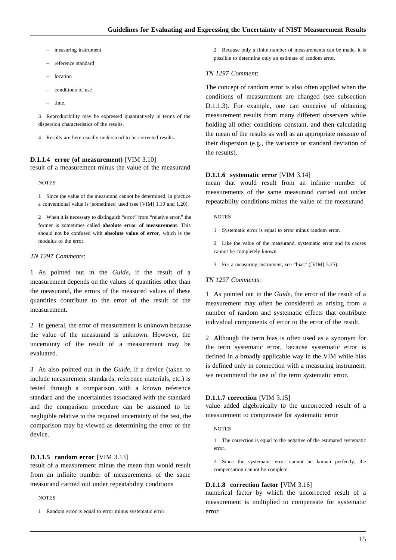- measuring instrument
- reference standard
- **location**
- conditions of use
- $-$  time.

3 Reproducibility may be expressed quantitatively in terms of the dispersion characteristics of the results.

4 Results are here usually understood to be corrected results.

#### **D.1.1.4 error (of measurement)** [VIM 3.10]

result of a measurement minus the value of the measurand

#### **NOTES**

1 Since the value of the measurand cannot be determined, in practice a conventional value is [sometimes] used (see [VIM] 1.19 and 1.20).

2 When it is necessary to distinguish "error" from "relative error," the former is sometimes called **absolute error of measurement**. This should not be confused with **absolute value of error**, which is the modulus of the error.

#### *TN 1297 Comments*:

1 As pointed out in the *Guide*, if the result of a measurement depends on the values of quantities other than the measurand, the errors of the measured values of these quantities contribute to the error of the result of the measurement.

2 In general, the error of measurement is unknown because the value of the measurand is unknown. However, the uncertainty of the result of a measurement may be evaluated.

3 As also pointed out in the *Guide*, if a device (taken to include measurement standards, reference materials, etc.) is tested through a comparison with a known reference standard and the uncertainties associated with the standard and the comparison procedure can be assumed to be negligible relative to the required uncertainty of the test, the comparison may be viewed as determining the error of the device.

#### **D.1.1.5 random error** [VIM 3.13]

result of a measurement minus the mean that would result from an infinite number of measurements of the same measurand carried out under repeatability conditions

#### **NOTES**

1 Random error is equal to error minus systematic error.

2 Because only a finite number of measurements can be made, it is possible to determine only an estimate of random error.

#### *TN 1297 Comment*:

The concept of random error is also often applied when the conditions of measurement are changed (see subsection D.1.1.3). For example, one can conceive of obtaining measurement results from many different observers while holding all other conditions constant, and then calculating the mean of the results as well as an appropriate measure of their dispersion (e.g., the variance or standard deviation of the results).

#### **D.1.1.6 systematic error** [VIM 3.14]

mean that would result from an infinite number of measurements of the same measurand carried out under repeatability conditions minus the value of the measurand

**NOTES** 

- 1 Systematic error is equal to error minus random error.
- 2 Like the value of the measurand, systematic error and its causes cannot be completely known.
- 3 For a measuring instrument, see "bias" ([VIM] 5.25).

#### *TN 1297 Comments*:

1 As pointed out in the *Guide*, the error of the result of a measurement may often be considered as arising from a number of random and systematic effects that contribute individual components of error to the error of the result.

2 Although the term bias is often used as a synonym for the term systematic error, because systematic error is defined in a broadly applicable way in the VIM while bias is defined only in connection with a measuring instrument, we recommend the use of the term systematic error.

#### **D.1.1.7 correction** [VIM 3.15]

value added algebraically to the uncorrected result of a measurement to compensate for systematic error

#### **NOTES**

1 The correction is equal to the negative of the estimated systematic error.

2 Since the systematic error cannot be known perfectly, the compensation cannot be complete.

#### **D.1.1.8 correction factor** [VIM 3.16]

numerical factor by which the uncorrected result of a measurement is multiplied to compensate for systematic error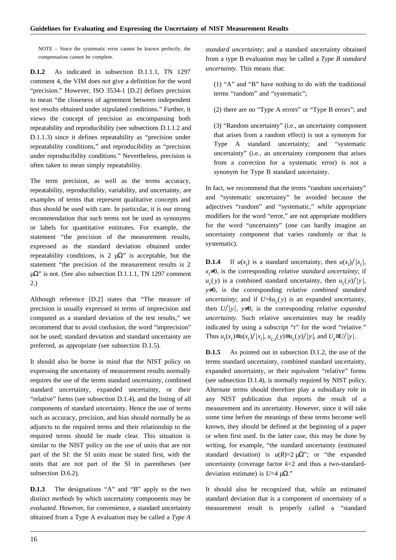NOTE – Since the systematic error cannot be known perfectly, the compensation cannot be complete.

**D.1.2** As indicated in subsection D.1.1.1, TN 1297 comment 4, the VIM does not give a definition for the word "precision." However, ISO 3534-1 [D.2] defines precision to mean "the closeness of agreement between independent test results obtained under stipulated conditions." Further, it views the concept of precision as encompassing both repeatability and reproducibility (see subsections D.1.1.2 and D.1.1.3) since it defines repeatability as "precision under repeatability conditions," and reproducibility as "precision under reproducibility conditions." Nevertheless, precision is often taken to mean simply repeatability.

The term precision, as well as the terms accuracy, repeatability, reproducibility, variability, and uncertainty, are examples of terms that represent qualitative concepts and thus should be used with care. In particular, it is our strong recommendation that such terms not be used as synonyms or labels for quantitative estimates. For example, the statement "the precision of the measurement results, expressed as the standard deviation obtained under repeatability conditions, is 2  $\mu\Omega$ " is acceptable, but the statement "the precision of the measurement results is 2  $\mu\Omega$ " is not. (See also subsection D.1.1.1, TN 1297 comment 2.)

Although reference [D.2] states that "The measure of precision is usually expressed in terms of imprecision and computed as a standard deviation of the test results," we recommend that to avoid confusion, the word "imprecision" not be used; standard deviation and standard uncertainty are preferred, as appropriate (see subsection D.1.5).

It should also be borne in mind that the NIST policy on expressing the uncertainty of measurement results normally requires the use of the terms standard uncertainty, combined standard uncertainty, expanded uncertainty, or their "relative" forms (see subsection D.1.4), and the listing of all components of standard uncertainty. Hence the use of terms such as accuracy, precision, and bias should normally be as adjuncts to the required terms and their relationship to the required terms should be made clear. This situation is similar to the NIST policy on the use of units that are not part of the SI: the SI units must be stated first, with the units that are not part of the SI in parentheses (see subsection D.6.2).

**D.1.3** The designations "A" and "B" apply to the two distinct *methods* by which uncertainty components may be *evaluated*. However, for convenience, a standard uncertainty obtained from a Type A evaluation may be called a *Type A*

*standard uncertainty*; and a standard uncertainty obtained from a type B evaluation may be called a *Type B standard uncertainty*. This means that:

(1) "A" and "B" have nothing to do with the traditional terms "random" and "systematic";

(2) there are no "Type A errors" or "Type B errors"; and

(3) "Random uncertainty" (i.e., an uncertainty component that arises from a random effect) is not a synonym for Type A standard uncertainty; and "systematic uncertainty" (i.e., an uncertainty component that arises from a correction for a systematic error) is not a synonym for Type B standard uncertainty.

In fact, we recommend that the terms "random uncertainty" and "systematic uncertainty" be avoided because the adjectives "random" and "systematic," while appropriate modifiers for the word "error," are not appropriate modifiers for the word "uncertainty" (one can hardly imagine an uncertainty component that varies randomly or that is systematic).

**D.1.4** If  $u(x_i)$  is a standard uncertainty, then  $u(x_i)/|x_i|$ , *xi* ≠0, is the corresponding *relative standard uncertainty*; if  $u_c(y)$  is a combined standard uncertainty, then  $u_c(y)/|y|$ , *y*≠0, is the corresponding *relative combined standard uncertainty*; and if  $U=ku_c(y)$  is an expanded uncertainty, then  $U/|y|$ ,  $y\neq 0$ , is the corresponding *relative expanded uncertainty*. Such relative uncertainties may be readily indicated by using a subscript "r" for the word "relative." Thus  $u_r(x_i) \equiv u(x_i) / |x_i|, u_{c,r}(y) \equiv u_c(y) / |y|$ , and  $U_r \equiv U / |y|$ .

**D.1.5** As pointed out in subsection D.1.2, the use of the terms standard uncertainty, combined standard uncertainty, expanded uncertainty, or their equivalent "relative" forms (see subsection D.1.4), is normally required by NIST policy. Alternate terms should therefore play a subsidiary role in any NIST publication that reports the result of a measurement and its uncertainty. However, since it will take some time before the meanings of these terms become well known, they should be defined at the beginning of a paper or when first used. In the latter case, this may be done by writing, for example, "the standard uncertainty (estimated standard deviation) is  $u(R)=2 \mu\Omega$ "; or "the expanded uncertainty (coverage factor *k*=2 and thus a two-standarddeviation estimate) is  $U=4 \mu\Omega$ ."

It should also be recognized that, while an estimated standard deviation that is a component of uncertainty of a measurement result is properly called a "standard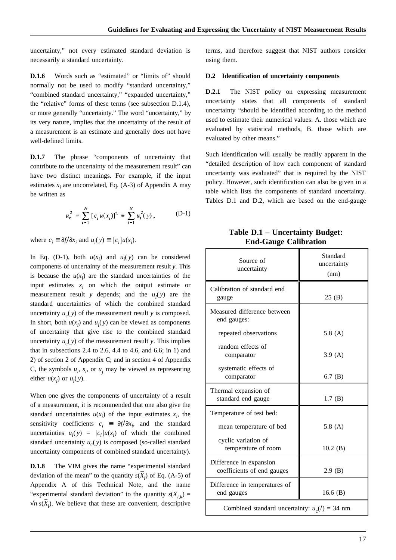uncertainty," not every estimated standard deviation is necessarily a standard uncertainty.

**D.1.6** Words such as "estimated" or "limits of" should normally not be used to modify "standard uncertainty," "combined standard uncertainty," "expanded uncertainty," the "relative" forms of these terms (see subsection D.1.4), or more generally "uncertainty." The word "uncertainty," by its very nature, implies that the uncertainty of the result of a measurement is an estimate and generally does not have well-defined limits.

**D.1.7** The phrase "components of uncertainty that contribute to the uncertainty of the measurement result" can have two distinct meanings. For example, if the input estimates  $x_i$  are uncorrelated, Eq.  $(A-3)$  of Appendix A may be written as

$$
u_{c}^{2} = \sum_{i=1}^{N} [c_{i} u(x_{i})]^{2} = \sum_{i=1}^{N} u_{i}^{2}(y), \qquad (D-1)
$$

where  $c_i \equiv \partial f / \partial x_i$  and  $u_i(y) \equiv |c_i| u(x_i)$ .

In Eq. (D-1), both  $u(x_i)$  and  $u_i(y)$  can be considered components of uncertainty of the measurement result *y*. This is because the  $u(x_i)$  are the standard uncertainties of the input estimates  $x_i$  on which the output estimate or measurement result *y* depends; and the  $u_i(y)$  are the standard uncertainties of which the combined standard uncertainty  $u_c(y)$  of the measurement result *y* is composed. In short, both  $u(x_i)$  and  $u_i(y)$  can be viewed as components of uncertainty that give rise to the combined standard uncertainty  $u_c(y)$  of the measurement result *y*. This implies that in subsections 2.4 to 2.6, 4.4 to 4.6, and 6.6; in 1) and 2) of section 2 of Appendix C; and in section 4 of Appendix C, the symbols  $u_i$ ,  $s_i$ , or  $u_j$  may be viewed as representing either  $u(x_i)$  or  $u_i(y)$ .

When one gives the components of uncertainty of a result of a measurement, it is recommended that one also give the standard uncertainties  $u(x_i)$  of the input estimates  $x_i$ , the sensitivity coefficients  $c_i \equiv \partial f / \partial x_i$ , and the standard uncertainties  $u_i(y) = |c_i| u(x_i)$  of which the combined standard uncertainty  $u_c(y)$  is composed (so-called standard uncertainty components of combined standard uncertainty).

**D.1.8** The VIM gives the name "experimental standard" deviation of the mean" to the quantity  $s(X_i)$  of Eq. (A-5) of Appendix A of this Technical Note, and the name "experimental standard deviation" to the quantity  $s(X_i)$  $\sqrt{n} s(X_i)$ . We believe that these are convenient, descriptive

terms, and therefore suggest that NIST authors consider using them.

#### **D.2 Identification of uncertainty components**

**D.2.1** The NIST policy on expressing measurement uncertainty states that all components of standard uncertainty "should be identified according to the method used to estimate their numerical values: A. those which are evaluated by statistical methods, B. those which are evaluated by other means."

Such identification will usually be readily apparent in the "detailed description of how each component of standard uncertainty was evaluated" that is required by the NIST policy. However, such identification can also be given in a table which lists the components of standard uncertainty. Tables D.1 and D.2, which are based on the end-gauge

# **Table D.1 – Uncertainty Budget: End-Gauge Calibration**

| Source of<br>uncertainty                              | Standard<br>uncertainty<br>(nm) |  |  |  |
|-------------------------------------------------------|---------------------------------|--|--|--|
| Calibration of standard end<br>gauge                  | 25(B)                           |  |  |  |
| Measured difference between<br>end gauges:            |                                 |  |  |  |
| repeated observations                                 | 5.8(A)                          |  |  |  |
| random effects of<br>comparator                       | 3.9(A)                          |  |  |  |
| systematic effects of<br>comparator                   | 6.7(B)                          |  |  |  |
| Thermal expansion of<br>standard end gauge            | 1.7(B)                          |  |  |  |
| Temperature of test bed:                              |                                 |  |  |  |
| mean temperature of bed                               | 5.8(A)                          |  |  |  |
| cyclic variation of<br>temperature of room            | 10.2(B)                         |  |  |  |
| Difference in expansion<br>coefficients of end gauges | 2.9(B)                          |  |  |  |
| Difference in temperatures of<br>end gauges           | 16.6 $(B)$                      |  |  |  |
| Combined standard uncertainty: $u_c(l) = 34$ nm       |                                 |  |  |  |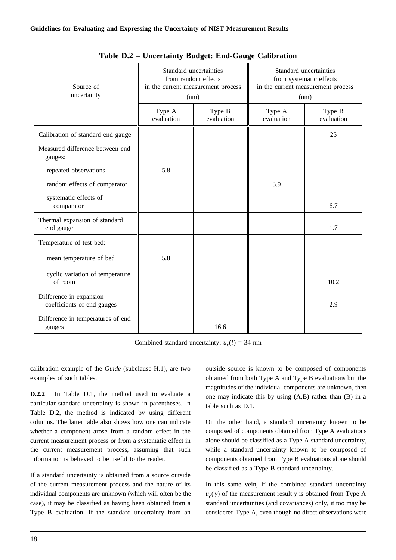| Source of<br>uncertainty                              | from random effects<br>in the current measurement process | Standard uncertainties<br>(nm) | Standard uncertainties<br>from systematic effects<br>in the current measurement process<br>(nm) |                      |  |  |  |
|-------------------------------------------------------|-----------------------------------------------------------|--------------------------------|-------------------------------------------------------------------------------------------------|----------------------|--|--|--|
|                                                       | Type A<br>evaluation                                      | Type B<br>evaluation           | Type A<br>evaluation                                                                            | Type B<br>evaluation |  |  |  |
| Calibration of standard end gauge                     |                                                           |                                |                                                                                                 | 25                   |  |  |  |
| Measured difference between end<br>gauges:            |                                                           |                                |                                                                                                 |                      |  |  |  |
| repeated observations                                 | 5.8                                                       |                                |                                                                                                 |                      |  |  |  |
| random effects of comparator                          |                                                           |                                | 3.9                                                                                             |                      |  |  |  |
| systematic effects of<br>comparator                   |                                                           |                                |                                                                                                 | 6.7                  |  |  |  |
| Thermal expansion of standard<br>end gauge            |                                                           |                                |                                                                                                 | 1.7                  |  |  |  |
| Temperature of test bed:                              |                                                           |                                |                                                                                                 |                      |  |  |  |
| mean temperature of bed                               | 5.8                                                       |                                |                                                                                                 |                      |  |  |  |
| cyclic variation of temperature<br>of room            |                                                           |                                |                                                                                                 | 10.2                 |  |  |  |
| Difference in expansion<br>coefficients of end gauges |                                                           |                                |                                                                                                 | 2.9                  |  |  |  |
| Difference in temperatures of end<br>gauges           |                                                           | 16.6                           |                                                                                                 |                      |  |  |  |
| Combined standard uncertainty: $u_c(l) = 34$ nm       |                                                           |                                |                                                                                                 |                      |  |  |  |

**Table D.2 – Uncertainty Budget: End-Gauge Calibration**

calibration example of the *Guide* (subclause H.1), are two examples of such tables.

**D.2.2** In Table D.1, the method used to evaluate a particular standard uncertainty is shown in parentheses. In Table D.2, the method is indicated by using different columns. The latter table also shows how one can indicate whether a component arose from a random effect in the current measurement process or from a systematic effect in the current measurement process, assuming that such information is believed to be useful to the reader.

If a standard uncertainty is obtained from a source outside of the current measurement process and the nature of its individual components are unknown (which will often be the case), it may be classified as having been obtained from a Type B evaluation. If the standard uncertainty from an

outside source is known to be composed of components obtained from both Type A and Type B evaluations but the magnitudes of the individual components are unknown, then one may indicate this by using (A,B) rather than (B) in a table such as D.1.

On the other hand, a standard uncertainty known to be composed of components obtained from Type A evaluations alone should be classified as a Type A standard uncertainty, while a standard uncertainty known to be composed of components obtained from Type B evaluations alone should be classified as a Type B standard uncertainty.

In this same vein, if the combined standard uncertainty  $u_c(y)$  of the measurement result *y* is obtained from Type A standard uncertainties (and covariances) only, it too may be considered Type A, even though no direct observations were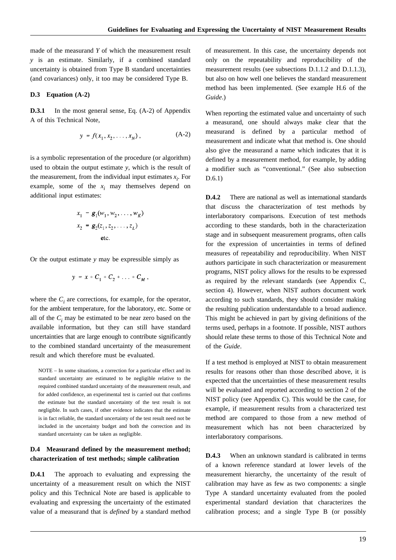made of the measurand *Y* of which the measurement result *y* is an estimate. Similarly, if a combined standard uncertainty is obtained from Type B standard uncertainties (and covariances) only, it too may be considered Type B.

#### **D.3 Equation (A-2)**

**D.3.1** In the most general sense, Eq. (A-2) of Appendix A of this Technical Note,

$$
y = f(x_1, x_2, \dots, x_N), \tag{A-2}
$$

is a symbolic representation of the procedure (or algorithm) used to obtain the output estimate *y*, which is the result of the measurement, from the individual input estimates  $x_i$ . For example, some of the  $x_i$  may themselves depend on additional input estimates:

$$
x_1 = \mathbf{g}_1(w_1, w_2, \dots, w_K)
$$
  

$$
x_2 = \mathbf{g}_2(z_1, z_2, \dots, z_L)
$$
  
etc.

Or the output estimate *y* may be expressible simply as

$$
y = x + C_1 + C_2 + \ldots + C_M
$$

where the  $C_i$  are corrections, for example, for the operator, for the ambient temperature, for the laboratory, etc. Some or all of the *Ci* may be estimated to be near zero based on the available information, but they can still have standard uncertainties that are large enough to contribute significantly to the combined standard uncertainty of the measurement result and which therefore must be evaluated.

NOTE – In some situations, a correction for a particular effect and its standard uncertainty are estimated to be negligible relative to the required combined standard uncertainty of the measurement result, and for added confidence, an experimental test is carried out that confirms the estimate but the standard uncertainty of the test result is not negligible. In such cases, if other evidence indicates that the estimate is in fact reliable, the standard uncertainty of the test result need not be included in the uncertainty budget and both the correction and its standard uncertainty can be taken as negligible.

## **D.4 Measurand defined by the measurement method; characterization of test methods; simple calibration**

**D.4.1** The approach to evaluating and expressing the uncertainty of a measurement result on which the NIST policy and this Technical Note are based is applicable to evaluating and expressing the uncertainty of the estimated value of a measurand that is *defined* by a standard method of measurement. In this case, the uncertainty depends not only on the repeatability and reproducibility of the measurement results (see subsections D.1.1.2 and D.1.1.3), but also on how well one believes the standard measurement method has been implemented. (See example H.6 of the *Guide*.)

When reporting the estimated value and uncertainty of such a measurand, one should always make clear that the measurand is defined by a particular method of measurement and indicate what that method is. One should also give the measurand a name which indicates that it is defined by a measurement method, for example, by adding a modifier such as "conventional." (See also subsection D.6.1)

**D.4.2** There are national as well as international standards that discuss the characterization of test methods by interlaboratory comparisons. Execution of test methods according to these standards, both in the characterization stage and in subsequent measurement programs, often calls for the expression of uncertainties in terms of defined measures of repeatability and reproducibility. When NIST authors participate in such characterization or measurement programs, NIST policy allows for the results to be expressed as required by the relevant standards (see Appendix C, section 4). However, when NIST authors document work according to such standards, they should consider making the resulting publication understandable to a broad audience. This might be achieved in part by giving definitions of the terms used, perhaps in a footnote. If possible, NIST authors should relate these terms to those of this Technical Note and of the *Guide*.

If a test method is employed at NIST to obtain measurement results for reasons other than those described above, it is expected that the uncertainties of these measurement results will be evaluated and reported according to section 2 of the NIST policy (see Appendix C). This would be the case, for example, if measurement results from a characterized test method are compared to those from a new method of measurement which has not been characterized by interlaboratory comparisons.

**D.4.3** When an unknown standard is calibrated in terms of a known reference standard at lower levels of the measurement hierarchy, the uncertainty of the result of calibration may have as few as two components: a single Type A standard uncertainty evaluated from the pooled experimental standard deviation that characterizes the calibration process; and a single Type B (or possibly